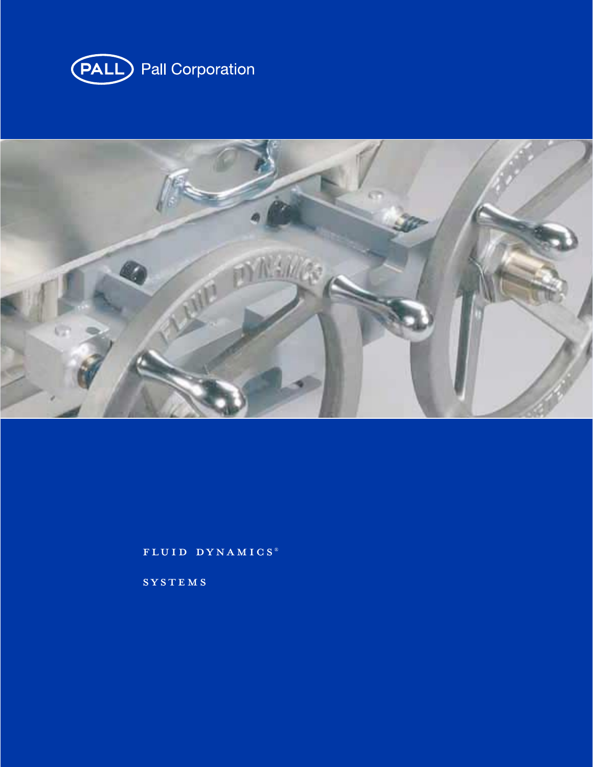



fluid dynamics ®

**SYSTEMS**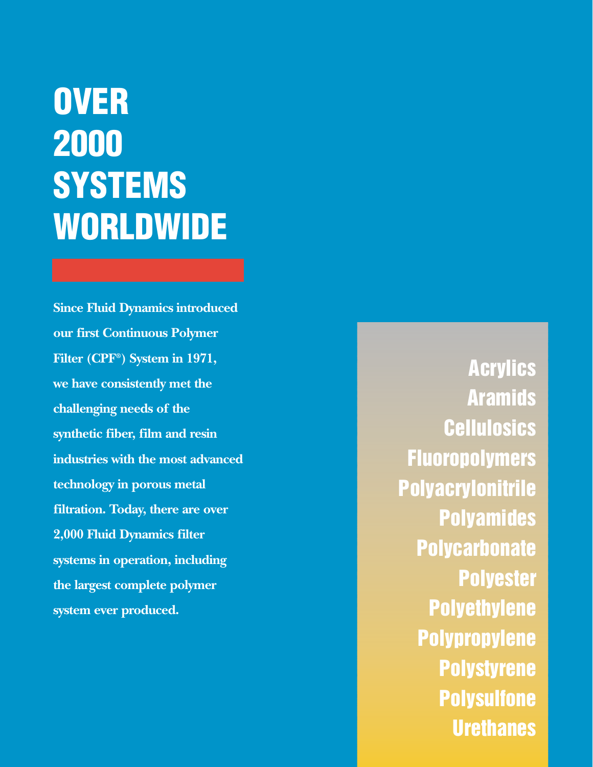# **OVER 2000 SYSTEMS WORLDWIDE**

**Since Fluid Dynamics introduced our first Continuous Polymer Filter (CPF®) System in 1971, we have consistently met the challenging needs of the synthetic fiber, film and resin industries with the most advanced technology in porous metal filtration. Today, there are over 2,000 Fluid Dynamics filter systems in operation, including the largest complete polymer system ever produced.**

**Acrylics Aramids Cellulosics Fluoropolymers Polyacrylonitrile Polyamides Polycarbonate Polyester Polyethylene Polypropylene Polystyrene Polysulfone Urethanes**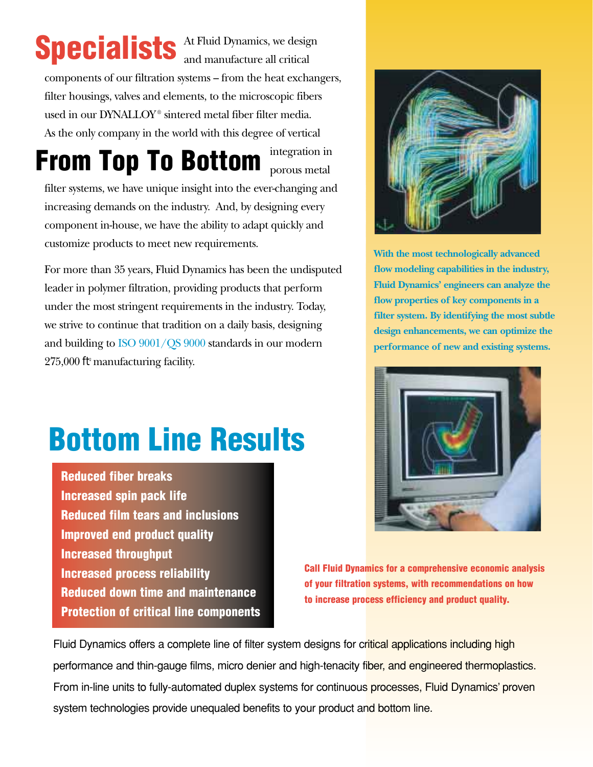# Specialists At Fluid Dynamics, we design

At Fluid Dynamics, we design

components of our filtration systems – from the heat exchangers, filter housings, valves and elements, to the microscopic fibers used in our DYNALLOY<sup>®</sup> sintered metal fiber filter media. As the only company in the world with this degree of vertical

integration in **From Top To Bottom** *porous metal* 

filter systems, we have unique insight into the ever-changing and increasing demands on the industry. And, by designing every component in-house, we have the ability to adapt quickly and customize products to meet new requirements.

For more than 35 years, Fluid Dynamics has been the undisputed leader in polymer filtration, providing products that perform under the most stringent requirements in the industry. Today, we strive to continue that tradition on a daily basis, designing and building to ISO 9001/QS 9000 standards in our modern 275,000 ft2 manufacturing facility.



**With the most technologically advanced flow modeling capabilities in the industry, Fluid Dynamics' engineers can analyze the flow properties of key components in a filter system. By identifying the most subtle design enhancements, we can optimize the performance of new and existing systems.**



**Call Fluid Dynamics for a comprehensive economic analysis of your filtration systems, with recommendations on how to increase process efficiency and product quality.**

Fluid Dynamics offers a complete line of filter system designs for critical applications including high performance and thin-gauge films, micro denier and high-tenacity fiber, and engineered thermoplastics. From in-line units to fully-automated duplex systems for continuous processes, Fluid Dynamics' proven system technologies provide unequaled benefits to your product and bottom line.

# **Bottom Line Results**

**Reduced fiber breaks Increased spin pack life Reduced film tears and inclusions Improved end product quality Increased throughput Increased process reliability Reduced down time and maintenance Protection of critical line components**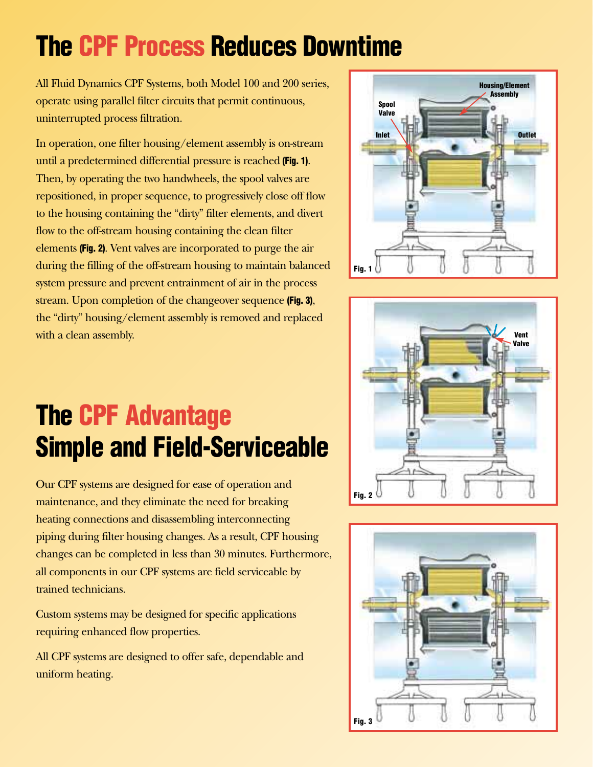## **The CPF Process Reduces Downtime**

All Fluid Dynamics CPF Systems, both Model 100 and 200 series, operate using parallel filter circuits that permit continuous, uninterrupted process filtration.

In operation, one filter housing/element assembly is on-stream until a predetermined differential pressure is reached **(Fig. 1)**. Then, by operating the two handwheels, the spool valves are repositioned, in proper sequence, to progressively close off flow to the housing containing the "dirty" filter elements, and divert flow to the off-stream housing containing the clean filter elements **(Fig. 2)**. Vent valves are incorporated to purge the air during the filling of the off-stream housing to maintain balanced system pressure and prevent entrainment of air in the process stream. Upon completion of the changeover sequence **(Fig. 3)**, the "dirty" housing/element assembly is removed and replaced with a clean assembly.



## **The CPF Advantage Simple and Field-Serviceable**

Our CPF systems are designed for ease of operation and maintenance, and they eliminate the need for breaking heating connections and disassembling interconnecting piping during filter housing changes. As a result, CPF housing changes can be completed in less than 30 minutes. Furthermore, all components in our CPF systems are field serviceable by trained technicians.

Custom systems may be designed for specific applications requiring enhanced flow properties.

All CPF systems are designed to offer safe, dependable and uniform heating.



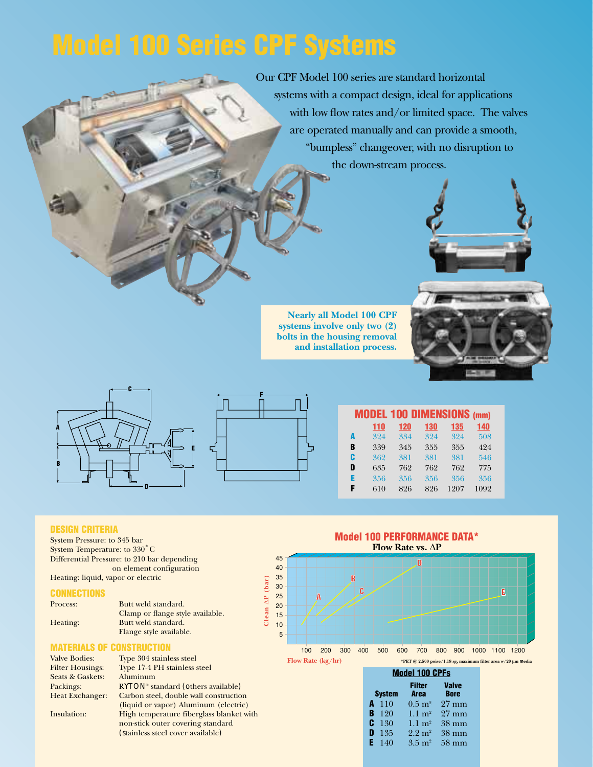## **Model 100 Series CPF Systems**

Our CPF Model 100 series are standard horizontal systems with a compact design, ideal for applications with low flow rates and/or limited space. The valves are operated manually and can provide a smooth, "bumpless" changeover, with no disruption to the down-stream process.



**Nearly all Model 100 CPF systems involve only two (2) bolts in the housing removal and installation process.**



|   | <b>MODEL 100 DIMENSIONS (mm)</b> |     |     |      |      |
|---|----------------------------------|-----|-----|------|------|
|   | 110                              | 120 | 130 | 135  | 140  |
| A | 324                              | 334 | 324 | 324  | 508  |
| B | 339                              | 345 | 355 | 355  | 424  |
| C | 362                              | 381 | 381 | 381  | 546  |
| D | 635                              | 762 | 762 | 762  | 775  |
| E | 356                              | 356 | 356 | 356  | 356  |
| F | 610                              | 826 | 826 | 1207 | 1092 |

### **DESIGN CRITERIA**

System Pressure: to 345 bar System Temperature: to 330˚ C Differential Pressure: to 210 bar depending on element configuration Heating: liquid, vapor or electric

#### **CONNECTIONS**

| Process: | Butt weld standard.              |
|----------|----------------------------------|
|          | Clamp or flange style available. |
| Heating: | Butt weld standard.              |
|          | Flange style available.          |

### **MATERIALS OF CONSTRUCTION**

| <b>Valve Bodies:</b>    | Type 304 stainless steel                       |
|-------------------------|------------------------------------------------|
| <b>Filter Housings:</b> | Type 17-4 PH stainless steel                   |
| Seats & Gaskets:        | Aluminum                                       |
| Packings:               | RYTON <sup>®</sup> standard (others available) |
| <b>Heat Exchanger:</b>  | Carbon steel, double wall construction         |
|                         | (liquid or vapor) Aluminum (electric)          |
| Insulation:             | High temperature fiberglass blanket with       |
|                         | non-stick outer covering standard              |
|                         | (stainless steel cover available)              |
|                         |                                                |



| <b>Model 100 CPFs</b> |  |                              |  |                             |  |
|-----------------------|--|------------------------------|--|-----------------------------|--|
| <b>System</b>         |  | <b>Filter</b><br><b>Area</b> |  | <b>Valve</b><br><b>Bore</b> |  |
| $A$ 110               |  | $0.5~{\rm m}^2$              |  | $27 \text{ mm}$             |  |
| $B$ 120               |  | $1.1 \text{ m}^2$            |  | $27 \text{ mm}$             |  |
| C $130$               |  | $1.1 \text{ m}^2$            |  | $38 \text{ mm}$             |  |
| 135<br>D              |  | $2.2 \text{ m}^2$            |  | $38 \text{ mm}$             |  |
| $E = 140$             |  | $3.5 \; \mathrm{m}^2$        |  | $58 \text{ mm}$             |  |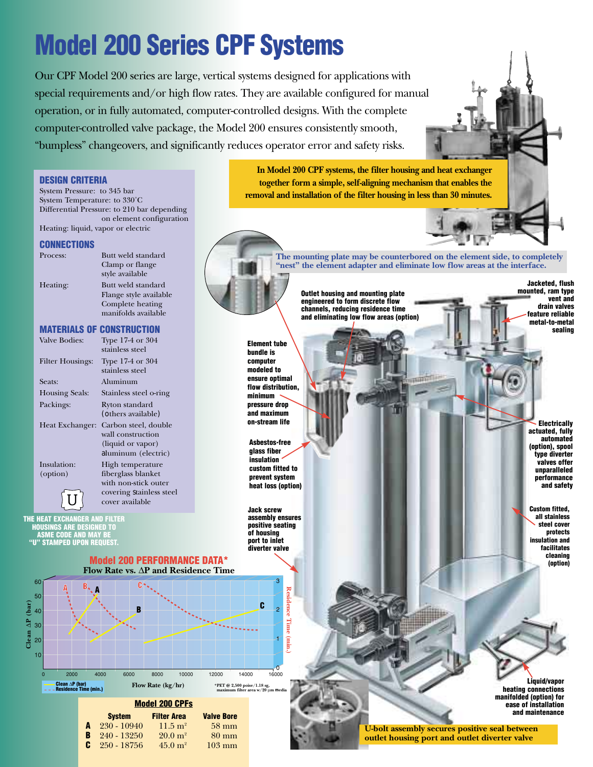## **Model 200 Series CPF Systems**

Our CPF Model 200 series are large, vertical systems designed for applications with special requirements and/or high flow rates. They are available configured for manual operation, or in fully automated, computer-controlled designs. With the complete computer-controlled valve package, the Model 200 ensures consistently smooth, "bumpless" changeovers, and significantly reduces operator error and safety risks.

**In Model 200 CPF systems, the filter housing and heat exchanger DESIGN CRITERIA together form a simple, self-aligning mechanism that enables the** System Pressure: to 345 bar **removal and installation of the filter housing in less than 30 minutes.**System Temperature: to 330˚C Differential Pressure: to 210 bar depending on element configuration Heating: liquid, vapor or electric **CONNECTIONS** Process: Butt weld standard **The mounting plate may be counterbored on the element side, to completely** Clamp or flange **"nest" the element adapter and eliminate low flow areas at the interface.** style available **Jacketed, flush** Heating: Butt weld standard **mounted, ram type** Flange style available **Outlet housing and mounting plate vent and engineered to form discrete flow**  Complete heating **drain valves channels, reducing residence time**  manifolds available **feature reliable and eliminating low flow areas (option) metal-to-metal MATERIALS OF CONSTRUCTION sealing** Valve Bodies: Type 17-4 or 304 **Element tube** stainless steel **bundle is**  Filter Housings: Type 17-4 or 304 **computer**  stainless steel **modeled to ensure optimal** Seats: Aluminum **flow distribution,** Housing Seals: Stainless steel o-ring **minimum**  Packings: Ryton standard **pressure drop**  (others available) **and maximum on-stream life Electrically** Heat Exchanger: Carbon steel, double **actuated, fully** wall construction **automated Asbestos-free** (liquid or vapor) **(option), spool glass fiber**  aluminum (electric) **type diverter insulation valves offer** Insulation: High temperature **custom fitted to unparalleled** (option) fiberglass blanket **prevent system performance** with non-stick outer **and safety heat loss (option)** covering stainless steel *U* cover available **Custom fitted, Jack screw all stainless assembly ensures THE HEAT EXCHANGER AND FILTER positive seating steel cover HOUSINGS ARE DESIGNED TO protects of housing ASME CODE AND MAY BE port to inlet insulation and "U" STAMPED UPON REQUEST. facilitates diverter valve cleaning Model 200 PERFORMANCE DATA\* (option) Flow Rate vs.** ∆**P and Residence Time** 60 3 **A** Kesit **Residence Time (min.)** 50 Clean  $\Delta P$  (bar) **Clean** ∆**P (bar) <sup>B</sup> <sup>C</sup>** 40 2 30 20 1 (min. 10  $\frac{1}{16000}$ 0 2000 4000 6000 8000 10000 12000 14000 16000 **Liquid/vapor Flow Rate (kg/hr) \*PET @ 2,500 poise/1.18 sg, Clean** ∆**P (bar) Residence Time (min.) maximum filter area w/20** µ**m media heating connections manifolded (option) for Model 200 CPFs ease of installation and maintenance System Filter Area Valve Bore A** 230 - 10940 11.5 m<sup>2</sup> 58 mm<br>**B** 240 - 13250 20.0 m<sup>2</sup> 80 mm **U-bolt assembly secures positive seal between B** 240 - 13250 20.0 m<sup>2</sup> 80 mm<br>**C** 250 - 18756 45.0 m<sup>2</sup> 103 mm **outlet housing port and outlet diverter valve 250 - 18756**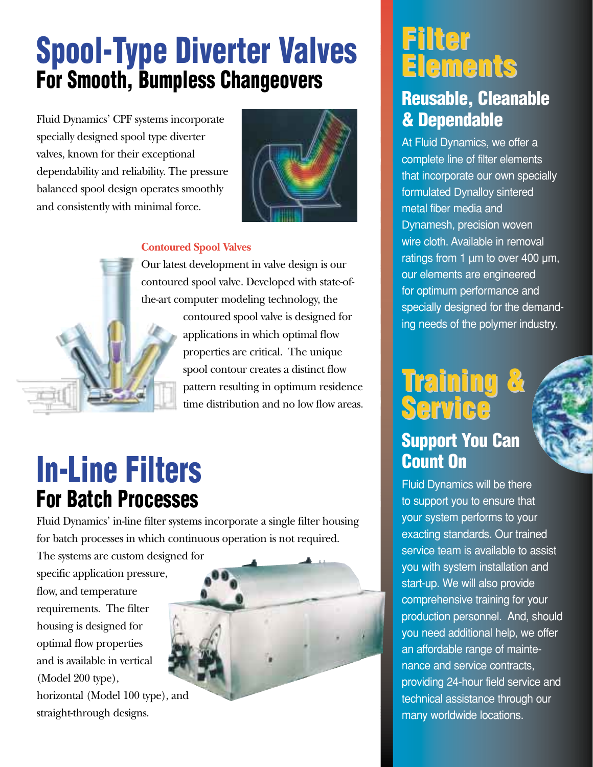## **Spool-Type Diverter Valves For Smooth, Bumpless Changeovers**

Fluid Dynamics' CPF systems incorporate specially designed spool type diverter valves, known for their exceptional dependability and reliability. The pressure balanced spool design operates smoothly and consistently with minimal force.



### **Contoured Spool Valves**

Our latest development in valve design is our contoured spool valve. Developed with state-ofthe-art computer modeling technology, the

> contoured spool valve is designed for applications in which optimal flow properties are critical. The unique spool contour creates a distinct flow pattern resulting in optimum residence time distribution and no low flow areas.

## **In-Line Filters For Batch Processes**

Fluid Dynamics' in-line filter systems incorporate a single filter housing for batch processes in which continuous operation is not required.

The systems are custom designed for specific application pressure, flow, and temperature requirements. The filter housing is designed for optimal flow properties and is available in vertical (Model 200 type), horizontal (Model 100 type), and

straight-through designs.



## **Filter Elements Elements**

### **Reusable, Cleanable & Dependable**

At Fluid Dynamics, we offer a complete line of filter elements that incorporate our own specially formulated Dynalloy sintered metal fiber media and Dynamesh, precision woven wire cloth. Available in removal ratings from 1 µm to over 400 µm, our elements are engineered for optimum performance and specially designed for the demanding needs of the polymer industry.

## **Training & raining & Service**

### **Support You Can Count On**

Fluid Dynamics will be there to support you to ensure that your system performs to your exacting standards. Our trained service team is available to assist you with system installation and start-up. We will also provide comprehensive training for your production personnel. And, should you need additional help, we offer an affordable range of maintenance and service contracts, providing 24-hour field service and technical assistance through our many worldwide locations.